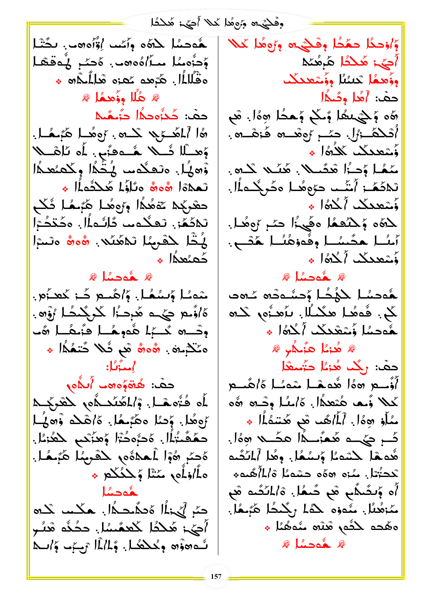وفَحْيْهِ وَرُوهُا مُحْلاً أَصَيْءَ هَكْمَا

هُوصِمُلْ لِهُوَهِ وَأَمِّبٍ إِوَّأُوهِمِ. يَحُتْلُ وَحَزُّهِ مَا مِمَالَهُ وَهُ مِنْ مَحْمَٰرٍ فَي مَقْتَصَلَّا وَقْلَالِمَا). هُرْمُدَ عَمَرُه مْعَلِمُلُمْ \* **& هُلَا وؤُهِهُا &** حق: كَذُوحِهُ ا حزُنِّهُلَا هْ أَلْمَعْكُمْ كُلُّهُ. وَهُمْا هَبْعُمْاً. وُهــُلا شُــلا هُــودُم . لَم تَاهَــلا ذْهِهَا. وتعنَّده لِمُتَّمَّا وِكَعْمَدْا تعطفا رؤورة وتَلَوْط هُكِتُولًا \* حعْرِبُهِ ۦّةَمُدًا وَرُومُا هُرُسُا ثُكّل تَدْكُمُ;. تَعَكُّدمب دَّائُـدَلًا. وَخَدَّجَةِا لْمُخْلِّ لِحَقْمِهُا تَلاهُكُلا. 50% وتَسْرَأ حُميْعِدًا \* 2 Luida 2 مْعَصًا وَسَمْعًا. وَأَهَيْهِ كَلَّ كَعَلَّهُا. هْ/وُّىم دِّيء هُرِدُ: كَرِجُدكُ رُوْهِ . وتَـــهِ كَـــرَا هُومِــَـا فَنَحْــا هُـ ەڭگېمە. ۋە ۋە ئىم ئىلا ئتىمگا إِمْيَّرْنَا: حق: هُوَوُهِ مِنْ أَكْمُو لَمَاهِ شُرْهِ هَـا. وْالْمَكْكِـدْهِ، كَعْدِجَـكَ أَوْهَا. وَصْلَ وَهُبُسُلَ. وَأَهْلُهُ وَوَهِيَٰل حمَّفُتُٱلْ. هُحرُّه كُتْرَا وُهزَّتَنب لِكَعُزِيْلَ. هُحِبٍّ هُوْا لْمَحْدُّومِ كَفَرِمُا هُبُمُا. مأاولُمي مَثَا وَكَحُكُم \* المُدَّدُ ال حَمْ إِنَّ مَا مَحْدَدُاً. حَكْسَ كَلَّهِ أَحِي: هَٰٓلاَمًا ێٚعمَّسُا. ححُذَّه مْنُــ لَـدهوْه وِحُكْفُـا. وُّاالْمَا رُبِّبُ وَّاسُلَا

وَأَوْحَدًا حَمَّحًا وِقَحِيْ وَوَهَٰا كَلا أحي: هَدْدُا هُوهُدُ ا وؤهما تملئا وؤشعدك حقَّ: أَهُل وضَّمُّا هُه وَحَيْمِتُهَا وَمَحْ وَحِصَا هِهَا. شَع أَتَـكَمَـٰٓءُلِّ. حَـُــرٍ رُوهْـــه فَـٰهَــه . وَسْعِدِكْمِ كَلَاهُ ﴾ مَعْمَا وَحِزًا مْحَمَىلا . هُنَىٰ كُلُو . لْكَفِّ: أَشَّى حَوْهُما هَجْيْدُها!. وَسْعِدِكْمِ أَكْمَاءَ لِهُه وَلِمُنْعَمُ هَيْ الْحَبِّ وَهُمَا. أَمِنُــا هجَّـمُــا وفُووَهُنُــا هُتَــى. وْسْعِدِكْمِ أَكْثَرُا ﴾ 2 Lisan 2 هُوصُل لِأُوكُل وُحِشُودُه عُـهو كُلِّي. فُوهُما هكْسُلًا. بِأَهِنُّونِ كَلْمَو هُءحسُل وُسْعْدِكُمْ أَكْمُوا ﴾ **& هُزنا هزَيكُرِ &** حقَّ: رِبُّكَ هُزْئِلْ حَتَّصَعْلَ أُؤْسِعِ 30\$ هُدِهْدا مْدْسَا ةَاهْسِعِ كَمِلًا وُّسِعَا هُتَعَدُّاً. هَا سُلَّا وِتْ1هَ ۞ مْلُوْ هِهُا. ٱلْمُاهُد هُم هُتَمُاْلُ \* کُے کیے هُمَّنَےُ مَکَّے ہُ اُن هُدها لِلنَّدمُا وُسُمُا. وهُا ٱلْمُكُنَّذ لْحَدُّبْتَا. مُنْزَه 30% حَسْمَنَا ةَالْمَأْهُمُو \* أَه وَىصَدَّى هُم صَـٰعًا. ۞ المَّصَّـه هُم مُنقُلًا. مِنْدَوْهِ حَدْمًا رِجُعْجًا هَرُحُمَّا. ه هُده حدُّم هُنْه مُهْمُدًا ﴾ R Lisan R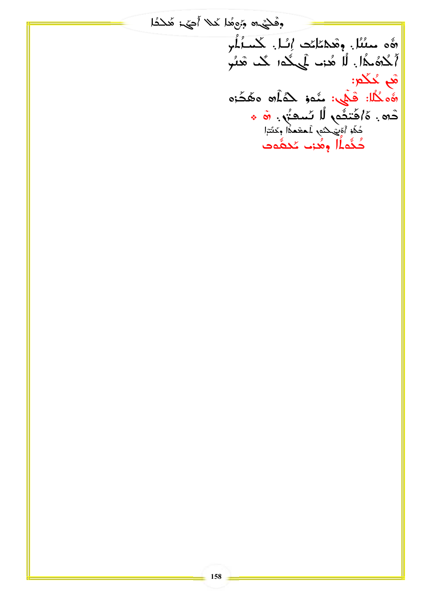وفَحْيْهِ وَرُوهُا مَمْلاً أَحَيْ: هَٰذَهُا ، مسُمَّا. وهُمماتِك إِسًا. كَسْرَٰلُم أَحْدَّهُ مِمَّا. لَا هُنِ لَمِحْدَ لَكَ هُنُو مْعِ مُكْم: هُوَ كُلًّا: قَلِّي: مُعْوَ لِكَهْلُهِ وَهُكُوْهِ حصب - حي الله عليه الله عليه .<br>شوه . كا كَنتُمْ الله عليه الله عليه الله عليه الله عليه الله عليه الله عليه الله عليه الله عليه الله عليه الل<br>حَكْما الله وهذب حَكْمُدَ حَكْمَاتِ 158